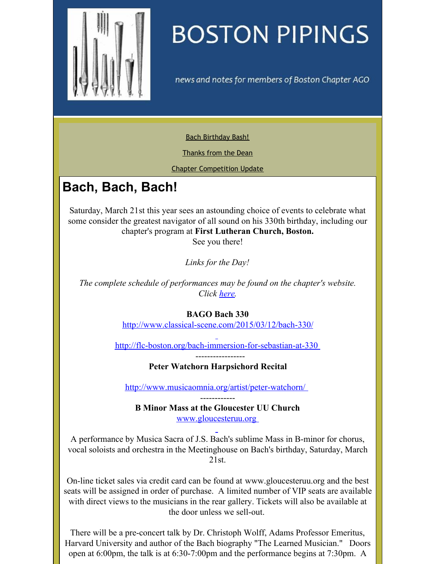<span id="page-0-0"></span>

# **BOSTON PIPINGS**

news and notes for members of Boston Chapter AGO

Bach [Birthday](#page-0-0) Bash!

[Thanks](#page-0-0) from the Dean

Chapter [Competition](#page-0-0) Update

## **Bach, Bach, Bach!**

Saturday, March 21st this year sees an astounding choice of events to celebrate what some consider the greatest navigator of all sound on his 330th birthday, including our chapter's program at **First Lutheran Church, Boston.**

See you there!

*Links for the Day!*

*The complete schedule of performances may be found on the chapter's website. Click [here](http://www.bostonago.com).*

#### **BAGO Bach 330**

<http://www.classical-scene.com/2015/03/12/bach-330/>

<http://flc-boston.org/bach-immersion-for-sebastian-at-330>

-----------------

**Peter Watchorn Harpsichord Recital**

<http://www.musicaomnia.org/artist/peter-watchorn/>

------------ **B Minor Mass at the Gloucester UU Church** [www.gloucesteruu.org](http://www.gloucesteruu.org)

A performance by Musica Sacra of J.S. Bach's sublime Mass in B-minor for chorus, vocal soloists and orchestra in the Meetinghouse on Bach's birthday, Saturday, March 21st.

On-line ticket sales via credit card can be found at www.gloucesteruu.org and the best seats will be assigned in order of purchase. A limited number of VIP seats are available with direct views to the musicians in the rear gallery. Tickets will also be available at the door unless we sell-out.

There will be a pre-concert talk by Dr. Christoph Wolff, Adams Professor Emeritus, Harvard University and author of the Bach biography "The Learned Musician." Doors open at 6:00pm, the talk is at 6:30-7:00pm and the performance begins at 7:30pm. A